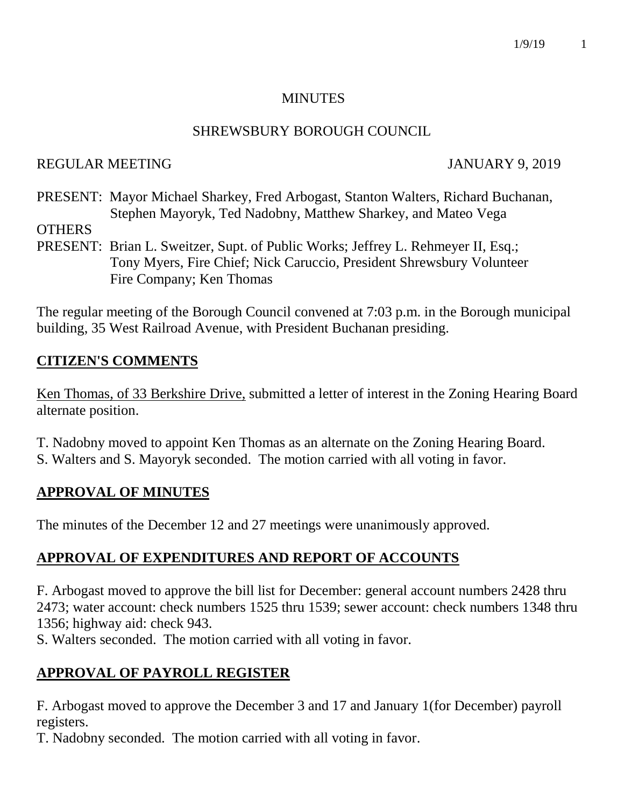### **MINUTES**

### SHREWSBURY BOROUGH COUNCIL

### REGULAR MEETING JANUARY 9, 2019

PRESENT: Mayor Michael Sharkey, Fred Arbogast, Stanton Walters, Richard Buchanan, Stephen Mayoryk, Ted Nadobny, Matthew Sharkey, and Mateo Vega

**OTHERS** 

PRESENT: Brian L. Sweitzer, Supt. of Public Works; Jeffrey L. Rehmeyer II, Esq.; Tony Myers, Fire Chief; Nick Caruccio, President Shrewsbury Volunteer Fire Company; Ken Thomas

The regular meeting of the Borough Council convened at 7:03 p.m. in the Borough municipal building, 35 West Railroad Avenue, with President Buchanan presiding.

## **CITIZEN'S COMMENTS**

Ken Thomas, of 33 Berkshire Drive, submitted a letter of interest in the Zoning Hearing Board alternate position.

- T. Nadobny moved to appoint Ken Thomas as an alternate on the Zoning Hearing Board.
- S. Walters and S. Mayoryk seconded. The motion carried with all voting in favor.

## **APPROVAL OF MINUTES**

The minutes of the December 12 and 27 meetings were unanimously approved.

# **APPROVAL OF EXPENDITURES AND REPORT OF ACCOUNTS**

F. Arbogast moved to approve the bill list for December: general account numbers 2428 thru 2473; water account: check numbers 1525 thru 1539; sewer account: check numbers 1348 thru 1356; highway aid: check 943.

S. Walters seconded. The motion carried with all voting in favor.

# **APPROVAL OF PAYROLL REGISTER**

F. Arbogast moved to approve the December 3 and 17 and January 1(for December) payroll registers.

T. Nadobny seconded. The motion carried with all voting in favor.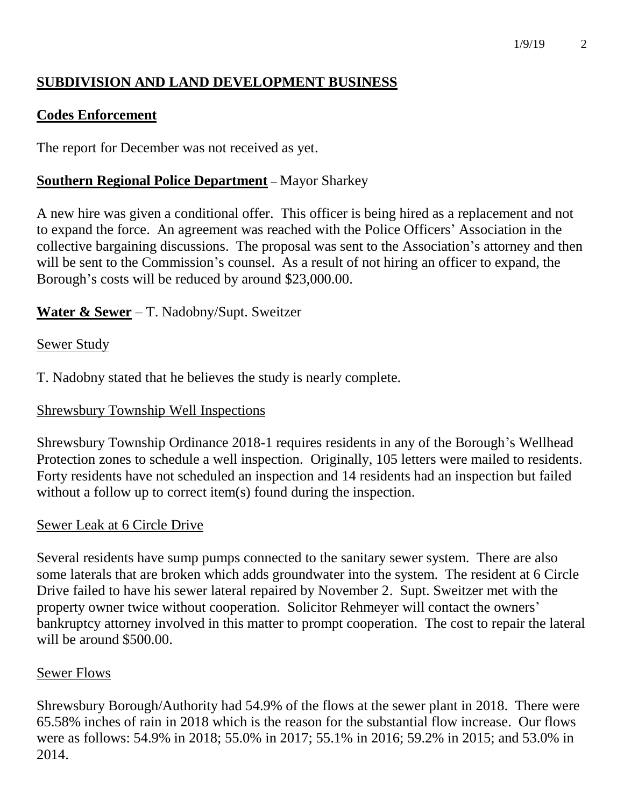# **SUBDIVISION AND LAND DEVELOPMENT BUSINESS**

## **Codes Enforcement**

The report for December was not received as yet.

## **Southern Regional Police Department –** Mayor Sharkey

A new hire was given a conditional offer. This officer is being hired as a replacement and not to expand the force. An agreement was reached with the Police Officers' Association in the collective bargaining discussions. The proposal was sent to the Association's attorney and then will be sent to the Commission's counsel. As a result of not hiring an officer to expand, the Borough's costs will be reduced by around \$23,000.00.

# **Water & Sewer** – T. Nadobny/Supt. Sweitzer

## Sewer Study

T. Nadobny stated that he believes the study is nearly complete.

## Shrewsbury Township Well Inspections

Shrewsbury Township Ordinance 2018-1 requires residents in any of the Borough's Wellhead Protection zones to schedule a well inspection. Originally, 105 letters were mailed to residents. Forty residents have not scheduled an inspection and 14 residents had an inspection but failed without a follow up to correct item(s) found during the inspection.

## Sewer Leak at 6 Circle Drive

Several residents have sump pumps connected to the sanitary sewer system. There are also some laterals that are broken which adds groundwater into the system. The resident at 6 Circle Drive failed to have his sewer lateral repaired by November 2. Supt. Sweitzer met with the property owner twice without cooperation. Solicitor Rehmeyer will contact the owners' bankruptcy attorney involved in this matter to prompt cooperation. The cost to repair the lateral will be around \$500.00.

## Sewer Flows

Shrewsbury Borough/Authority had 54.9% of the flows at the sewer plant in 2018. There were 65.58% inches of rain in 2018 which is the reason for the substantial flow increase. Our flows were as follows: 54.9% in 2018; 55.0% in 2017; 55.1% in 2016; 59.2% in 2015; and 53.0% in 2014.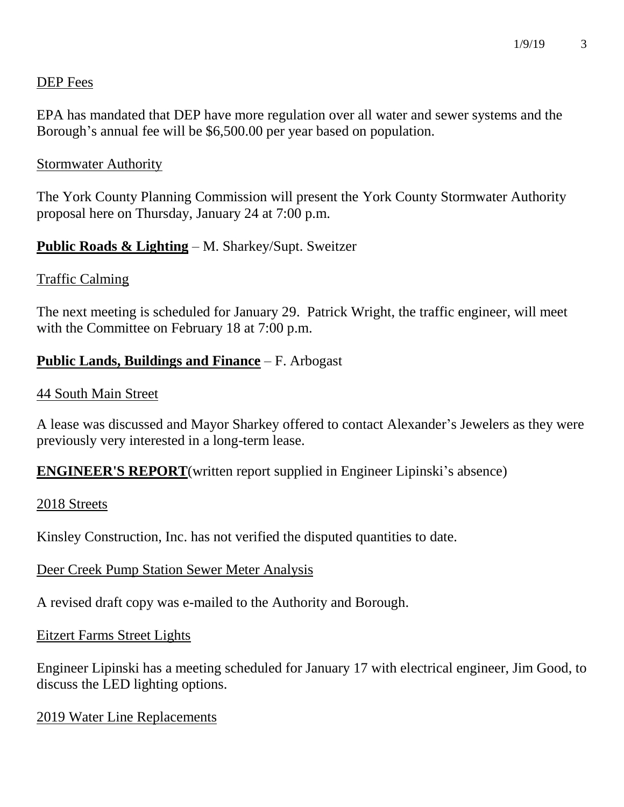### DEP Fees

EPA has mandated that DEP have more regulation over all water and sewer systems and the Borough's annual fee will be \$6,500.00 per year based on population.

#### Stormwater Authority

The York County Planning Commission will present the York County Stormwater Authority proposal here on Thursday, January 24 at 7:00 p.m.

### **Public Roads & Lighting** – M. Sharkey/Supt. Sweitzer

### Traffic Calming

The next meeting is scheduled for January 29. Patrick Wright, the traffic engineer, will meet with the Committee on February 18 at 7:00 p.m.

### **Public Lands, Buildings and Finance** – F. Arbogast

#### 44 South Main Street

A lease was discussed and Mayor Sharkey offered to contact Alexander's Jewelers as they were previously very interested in a long-term lease.

**ENGINEER'S REPORT**(written report supplied in Engineer Lipinski's absence)

#### 2018 Streets

Kinsley Construction, Inc. has not verified the disputed quantities to date.

### Deer Creek Pump Station Sewer Meter Analysis

A revised draft copy was e-mailed to the Authority and Borough.

#### Eitzert Farms Street Lights

Engineer Lipinski has a meeting scheduled for January 17 with electrical engineer, Jim Good, to discuss the LED lighting options.

2019 Water Line Replacements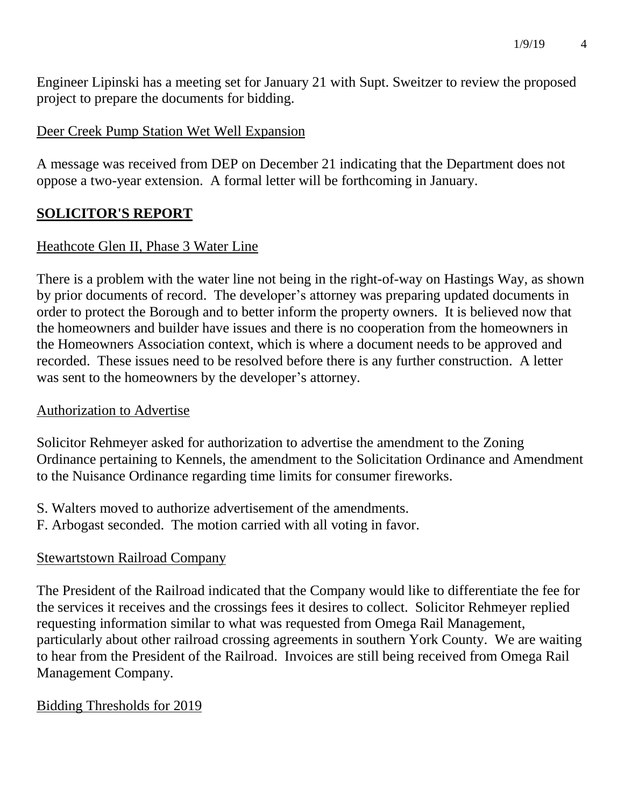Engineer Lipinski has a meeting set for January 21 with Supt. Sweitzer to review the proposed project to prepare the documents for bidding.

## Deer Creek Pump Station Wet Well Expansion

A message was received from DEP on December 21 indicating that the Department does not oppose a two-year extension. A formal letter will be forthcoming in January.

## **SOLICITOR'S REPORT**

## Heathcote Glen II, Phase 3 Water Line

There is a problem with the water line not being in the right-of-way on Hastings Way, as shown by prior documents of record. The developer's attorney was preparing updated documents in order to protect the Borough and to better inform the property owners. It is believed now that the homeowners and builder have issues and there is no cooperation from the homeowners in the Homeowners Association context, which is where a document needs to be approved and recorded. These issues need to be resolved before there is any further construction. A letter was sent to the homeowners by the developer's attorney.

### Authorization to Advertise

Solicitor Rehmeyer asked for authorization to advertise the amendment to the Zoning Ordinance pertaining to Kennels, the amendment to the Solicitation Ordinance and Amendment to the Nuisance Ordinance regarding time limits for consumer fireworks.

- S. Walters moved to authorize advertisement of the amendments.
- F. Arbogast seconded. The motion carried with all voting in favor.

### Stewartstown Railroad Company

The President of the Railroad indicated that the Company would like to differentiate the fee for the services it receives and the crossings fees it desires to collect. Solicitor Rehmeyer replied requesting information similar to what was requested from Omega Rail Management, particularly about other railroad crossing agreements in southern York County. We are waiting to hear from the President of the Railroad. Invoices are still being received from Omega Rail Management Company.

### Bidding Thresholds for 2019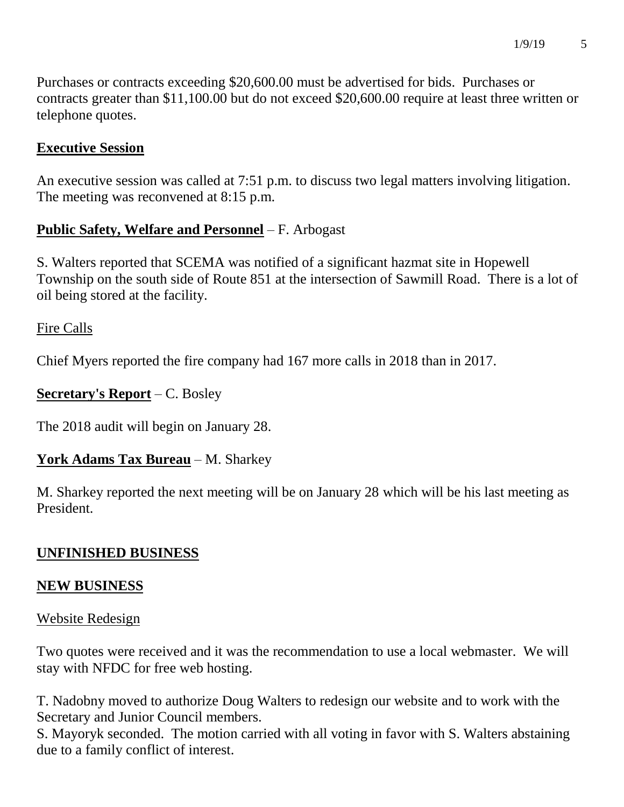Purchases or contracts exceeding \$20,600.00 must be advertised for bids. Purchases or contracts greater than \$11,100.00 but do not exceed \$20,600.00 require at least three written or telephone quotes.

## **Executive Session**

An executive session was called at 7:51 p.m. to discuss two legal matters involving litigation. The meeting was reconvened at 8:15 p.m.

## **Public Safety, Welfare and Personnel** – F. Arbogast

S. Walters reported that SCEMA was notified of a significant hazmat site in Hopewell Township on the south side of Route 851 at the intersection of Sawmill Road. There is a lot of oil being stored at the facility.

## Fire Calls

Chief Myers reported the fire company had 167 more calls in 2018 than in 2017.

## **Secretary's Report** – C. Bosley

The 2018 audit will begin on January 28.

## **York Adams Tax Bureau** – M. Sharkey

M. Sharkey reported the next meeting will be on January 28 which will be his last meeting as President.

# **UNFINISHED BUSINESS**

## **NEW BUSINESS**

## Website Redesign

Two quotes were received and it was the recommendation to use a local webmaster. We will stay with NFDC for free web hosting.

T. Nadobny moved to authorize Doug Walters to redesign our website and to work with the Secretary and Junior Council members.

S. Mayoryk seconded. The motion carried with all voting in favor with S. Walters abstaining due to a family conflict of interest.